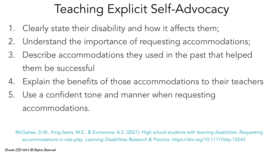## Teaching Explicit Self-Advocacy

- 1. Clearly state their disability and how it affects them;
- 2. Understand the importance of requesting accommodations;
- 3. Describe accommodations they used in the past that helped them be successful
- 4. Explain the benefits of those accommodations to their teachers
- 5. Use a confident tone and manner when requesting accommodations.

McGahee, D.W., King-Sears, M.E., & Evmenova, A.S. (2021). High school students with learning disabilities: Requesting accommodations in role-play. Learning Disabilities Research & Practice. https://doi.org/10.1111/ldrp.12243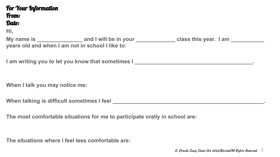## For Your Information From: Date:

**Hi,**

My name is \_\_\_\_\_\_\_\_\_\_\_\_\_\_\_\_\_\_ and I will be in your \_\_\_\_\_\_\_\_\_\_\_\_\_\_\_ class this year. I am \_\_\_\_\_\_\_\_\_\_ **years old and when I am not in school I like to:**

**I** am writing you to let you know that sometimes I \_\_\_\_\_\_\_\_\_\_\_\_\_\_\_\_\_\_\_\_\_\_\_\_\_\_\_\_\_

**When I talk you may notice me:** 

When talking is difficult sometimes I feel **with a set of the set of the set of the set of the set of the set of the set of the set of the set of the set of the set of the set of the set of the set of the set of the set of** 

**The most comfortable situations for me to participate orally in school are:**

**The situations where I feel less comfortable are:**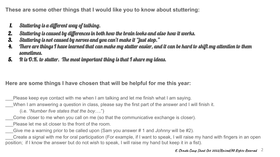**These are some other things that I would like you to know about stuttering:**

- 1. Stuttering is a different way of talking.
- 2. Stuttering is caused by differences in both how the brain looks and also how it works.
- 3. Stuttering is not caused by nerves and you can't make it "just stop."
- 4. There are things I have learned that can make my stutter easier, and it can be hard to shift my attention to them sometimes.
- 5. It is O.K. to stutter. The most important thing is that I share my ideas.

## **Here are some things I have chosen that will be helpful for me this year:**

\_\_\_Please keep eye contact with me when I am talking and let me finish what I am saying.

When I am answering a question in class, please say the first part of the answer and I will finish it.

(i.e. *"Number five states that the boy….*")

\_\_\_Come closer to me when you call on me (so that the communicative exchange is closer).

Please let me sit closer to the front of the room.

\_\_\_Give me a warning prior to be called upon (Sam you answer # 1 and *Johnny* will be #2).

\_\_\_Create a signal with me for oral participation (For example, if I want to speak, I will raise my hand with fingers in an open position; if I know the answer but do not wish to speak, I will raise my hand but keep it in a fist).